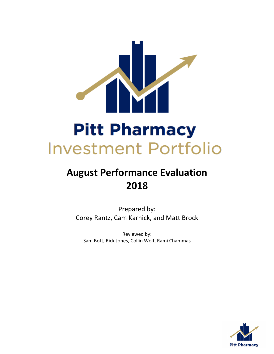

# **August Performance Evaluation 2018**

Prepared by: Corey Rantz, Cam Karnick, and Matt Brock

Reviewed by: Sam Bott, Rick Jones, Collin Wolf, Rami Chammas

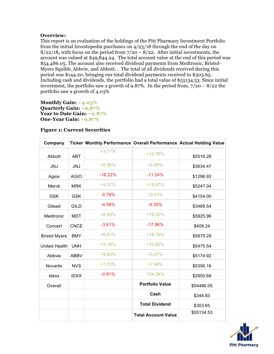# **Overview:**

This report is an evaluation of the holdings of the Pitt Pharmacy Investment Portfolio from the initial Investopedia purchases on 4/23/18 through the end of the day on 8/22/18**,** with focus on the period from 7/20 – 8/22. After initial investments, the account was valued at \$49,844.24. The total account value at the end of this period was \$54,486.05. The account also received dividend payments from Medtronic, Bristol-Myers Squibb, Abbvie, and Abbott. . The total of all dividends received during this period was \$144.20, bringing our total dividend payments received to \$303.65. Including cash and dividends, the portfolio had a total value of \$55134.53. Since initial investment, the portfolio saw a growth of 9.87%. In the period from,  $7/20 - 8/22$  the portfolio saw a growth of 4.03%

**Monthly Gain: +4.03% Quarterly Gain: +9.87% Year to Date Gain: +9.87% One-Year Gain: +9.87%**

| Company              |             | Ticker Monthly Performance Overall Performance Actual Holding Value |                            |            |
|----------------------|-------------|---------------------------------------------------------------------|----------------------------|------------|
| Abbott               | <b>ABT</b>  | $+3.71%$                                                            | $+10.78%$                  | \$5516.28  |
| <b>JNJ</b>           | <b>JNJ</b>  | +6.96%                                                              | $+6.09%$                   | \$3634.47  |
| Agios                | <b>AGIO</b> | $-16.22%$                                                           | $-11.24%$                  | \$1296.93  |
| Merck                | <b>MRK</b>  | $+5.37%$                                                            | $+14.97%$                  | \$5247.04  |
| <b>GSK</b>           | <b>GSK</b>  | $-0.79%$                                                            | $+3.41%$                   | \$4154.00  |
| Gilead               | <b>GILD</b> | $-4.59%$                                                            | $-0.35%$                   | \$3469.54  |
| Medtronic            | <b>MDT</b>  | +8.59%                                                              | +19.25%                    | \$5925.96  |
| Concert              | <b>CNCE</b> | $-3.61%$                                                            | $-17.98%$                  | \$409.24   |
| <b>Bristol Myers</b> | <b>BMY</b>  | $+6.81%$                                                            | $+18.19%$                  | \$5875.29  |
| <b>United Health</b> | <b>UNH</b>  | $+3.18%$                                                            | $+10.82%$                  | \$5475.54  |
| Abbvie               | <b>ABBV</b> | +9.82%                                                              | $+5.07%$                   | \$5174.92  |
| Novartis             | <b>NVS</b>  | $+1.72%$                                                            | $+7.49%$                   | \$5356.16  |
| Idexx                | <b>IDXX</b> | $-0.91%$                                                            | $+24.38%$                  | \$2950.68  |
| Overall              |             |                                                                     | <b>Portfolio Value</b>     | \$54486.05 |
|                      |             |                                                                     | Cash                       | \$344.83   |
|                      |             |                                                                     | <b>Total Dividend</b>      | \$303.65   |
|                      |             |                                                                     | <b>Total Account Value</b> | \$55134.53 |

## **Figure 1: Current Securities**

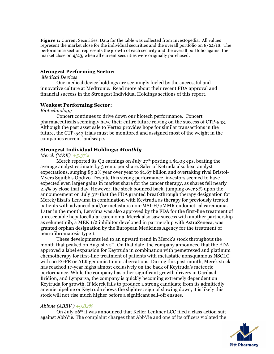**Figure 1:** Current Securities. Data for the table was collected from Investopedia. All values represent the market close for the individual securities and the overall portfolio on 8/22/18. The performance section represents the growth of each security and the overall portfolio against the market close on  $4/23$ , when all current securities were originally purchased.

## **Strongest Performing Sector:**

## *Medical Devices*

Our medical device holdings are seemingly fueled by the successful and innovative culture at Medtronic. Read more about their recent FDA approval and financial success in the Strongest Individual Holdings sections of this report.

#### **Weakest Performing Sector:**

#### *Biotechnology*

Concert continues to drive down our biotech performance.Concert pharmaceuticals seemingly have their entire future relying on the success of CTP-543. Although the past asset sale to Vertex provides hope for similar transactions in the future, the CTP-543 trials must be monitored and assigned most of the weight in the companies current landscape.

## **Strongest Individual Holdings:** *Monthly*

## *Merck (MRK) +5.37%*

Merck reported its Q2 earnings on July  $27<sup>th</sup>$  posting a \$1.03 eps, beating the average analyst estimate by 3 cents per share. Sales of Ketruda also beat analyst expectations, surging 89.2% year over year to \$1.67 billion and overtaking rival Bristol-Myers Squibb's Opdivo. Despite this strong performance, investors seemed to have expected even larger gains in market share for the cancer therapy, as shares fell nearly 2.5% by close that day. However, the stock bounced back, jumping over 3% upon the announcement on July 31st that the FDA granted breatkthrough therapy designation for Merck/Eisai's Lenvima in combination with Keytruda as therapy for previously treated patients with advanced and/or metastatic non-MSI-H/pMMR endometrial carcinoma. Later in the month, Lenvima was also approved by the FDA for the first-line treatment of unresectable hepatocellular carcinoma. Merck also saw success with another partnership as selumetinib, a MEK 1/2 inhibitor developed in partnership with AstraZeneca, was granted orphan designation by the European Medicines Agency for the treatment of neurofibromatosis type 1.

These developments led to an upward trend in Merck's stock throughout the month that peaked on August  $20<sup>th</sup>$ . On that date, the company announced that the FDA approved a label expansion for Keytruda in combination with pemetrexed and platinum chemotherapy for first-line treatment of patients with metastatic nonsquamous NSCLC, with no EGFR or ALK genomic tumor aberrations. During this past month, Merck stock has reached 17-year highs almost exclusively on the back of Keytruda's meteoric performance. While the company has other significant growth drivers in Gardasil, Bridion, and Lynparza, the company is quickly becoming extremely dependent on Keytruda for growth. If Merck fails to produce a strong candidate from its admittedly anemic pipeline or Keytruda shows the slightest sign of slowing down, it is likely this stock will not rise much higher before a significant sell-off ensues.

#### *Abbvie (ABBV ) +9.82%*

On July 26th it was announced that Keller Lenkner LCC filed a class action suit against AbbVie. The complaint charges that AbbVie and one of its officers violated the

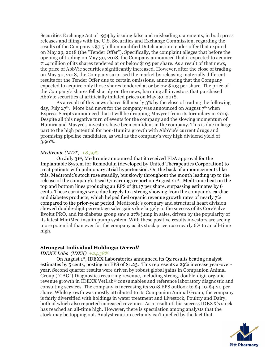Securities Exchange Act of 1934 by issuing false and misleading statements, in both press releases and filings with the U.S. Securities and Exchange Commission, regarding the results of the Company's \$7.5 billion modified Dutch auction tender offer that expired on May 29, 2018 (the "Tender Offer"). Specifically, the complaint alleges that before the opening of trading on May 30, 2018, the Company announced that it expected to acquire 71.4 million of its shares tendered at or below \$105 per share. As a result of that news, the price of AbbVie securities significantly increased. However, after the close of trading on May 30, 2018, the Company surprised the market by releasing materially different results for the Tender Offer due to certain omissions, announcing that the Company expected to acquire only those shares tendered at or below \$103 per share. The price of the Company's shares fell sharply on the news, harming all investors that purchased AbbVie securities at artificially inflated prices on May 30, 2018.

As a result of this news shares fell nearly 3% by the close of trading the following day, July  $27<sup>th</sup>$ . More bad news for the company was announced on August  $7<sup>th</sup>$  when Express Scripts announced that it will be dropping Mavyret from its formulary in 2019. Despite all this negative turn of events for the company and the slowing momentum of Humira and Mavyret, investors have been confident in the company. This is due in large part to the high potential for non-Humira growth with AbbVie's current drugs and promising pipeline candidates, as well as the company's very high dividend yield of 3.96%.

#### *Medtronic (MDT) +8.59%*

On July 31st, Medtronic announced that it received FDA approval for the Implantable System for Remodulin (developed by United Therapeutics Corporation) to treat patients with pulmonary atrial hypertension. On the back of announcements like this, Medtronic's stock rose steadily, but slowly throughout the month leading up to the release of the company's fiscal Q1 earnings report on August 21st. Medtronic beat on the top and bottom lines producing an EPS of \$1.17 per share, surpassing estimates by 6 cents. These earnings were due largely to a strong showing from the company's cardiac and diabetes products, which helped fuel organic revenue growth rates of nearly 7% compared to the prior-year period. Medtronic's coronary and structural heart division showed double-digit percentage sales gains due largely to the success of its CoreValve Evolut PRO, and its diabetes group saw a 27% jump in sales, driven by the popularity of its latest MiniMed insulin pump system. With these positive results investors are seeing more potential than ever for the company as its stock price rose nearly 6% to an all-time high.

#### **Strongest Individual Holdings:** *Overall*

#### *IDEXX Labs (IDXX) +24.38%*

On August 1st, IDEXX Laboratories announced its Q2 results beating analyst estimates by 5 cents, posting an EPS of \$1.23. This represents a 29% increase year-overyear. Second quarter results were driven by robust global gains in Companion Animal Group ("CAG") Diagnostics recurring revenue, including strong, double-digit organic revenue growth in IDEXX VetLab® consumables and reference laboratory diagnostic and consulting services. The company is increasing its 2018 EPS outlook to \$4.10-\$4.20 per share. While growth was mostly attributed to its Companion Animal Group, the company is fairly diversified with holdings in water treatment and Livestock, Poultry and Dairy, both of which also reported increased revenues. As a result of this success IDEXX's stock has reached an all-time high. However, there is speculation among analysts that the stock may be topping out. Analyst caution certainly isn't quelled by the fact that

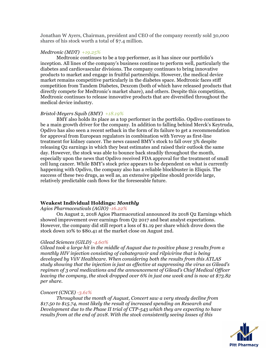Jonathan W Ayers, Chairman, president and CEO of the company recently sold 30,000 shares of his stock worth a total of \$7.4 million.

#### *Medtronic (MDT) +19.25%*

Medtronic continues to be a top performer, as it has since our portfolio's inception. All lines of the company's business continue to perform well, particularly the diabetes and cardiovascular divisions. The company continues to bring innovative products to market and engage in fruitful partnerships. However, the medical device market remains competitive particularly in the diabetes space. Medtronic faces stiff competition from Tandem Diabetes, Dexcom (both of which have released products that directly compete for Medtronic's market share), and others. Despite this competition, Medtronic continues to release innovative products that are diversified throughout the medical device industry.

#### *Bristol-Meyers Squib (BMY) +18.19%*

BMY also holds its place as a top performer in the portfolio. Opdivo continues to be a main growth driver for the company. In addition to falling behind Merck's Keytruda, Opdivo has also seen a recent setback in the form of its failure to get a recommendation for approval from European regulators in combination with Yervoy as first-line treatment for kidney cancer. The news caused BMY's stock to fall over 3% despite releasing Q2 earnings in which they beat estimates and raised their outlook the same day. However, the stock was able to bounce back steadily throughout the month, especially upon the news that Opdivo received FDA approval for the treatment of small cell lung cancer. While BMY's stock price appears to be dependent on what is currently happening with Opdivo, the company also has a reliable blockbuster in Eliquis. The success of these two drugs, as well as, an extensive pipeline should provide large, relatively predictable cash flows for the foreseeable future.

#### **Weakest Individual Holdings:** *Monthly*

*Agios Pharmaceuticals (AGIO) -16.22%*

On August 2, 2018 Agios Pharmaceutical announced its 2018 Q2 Earnings which showed improvement over earnings from Q2 2017 and beat analyst expectations. However, the company did still report a loss of \$1.19 per share which drove down the stock down 10% to \$80.41 at the market close on August 2nd.

#### *Gilead Sciences (GILD) -4.60%*

*Gilead took a large hit in the middle of August due to positive phase 3 results from a monthly HIV injection consisting of cabategravir and rilpivirine that is being developed by ViiV Healthcare. When considering both the results from this ATLAS study showing that the injection is just as effective at suppressing the virus as Gilead's regimen of 3 oral medications and the announcement of Gilead's Chief Medical Officer leaving the company, the stock dropped over 6% in just one week and is now at \$73.82 per share.*

#### *Concert (CNCE) -3.61%*

*Throughout the month of August, Concert saw a very steady decline from \$17.50 to \$15.74, most likely the result of increased spending on Research and Development due to the Phase II trial of CTP-543 which they are expecting to have results from at the end of 2018. With the stock consistently seeing losses of this* 

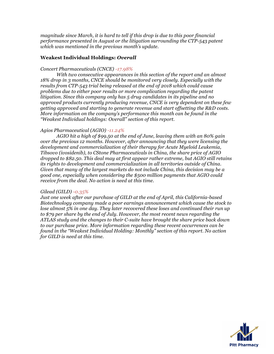*magnitude since March, it is hard to tell if this drop is due to this poor financial performance presented in August or the litigation surrounding the CTP-543 patent which was mentioned in the previous month's update.*

## **Weakest Individual Holdings:** *Overall*

## *Concert Pharmaceuticals (CNCE) -17.98%*

*With two consecutive appearances in this section of the report and an almost 18% drop in 3 months, CNCE should be monitored very closely. Especially with the results from CTP-543 trial being released at the end of 2018 which could cause problems due to either poor results or more complication regarding the patent litigation. Since this company only has 5 drug candidates in its pipeline and no approved products currently producing revenue, CNCE is very dependent on these few getting approved and starting to generate revenue and start offsetting the R&D costs. More information on the company's performance this month can be found in the "Weakest Individual holdings: Overall" section of this report.*

## *Agios Pharmaceutical (AGIO) -11.24%*

*AGIO hit a high of \$99.50 at the end of June, leaving them with an 80% gain over the previous 12 months. However, after announcing that they were licensing the development and commercialization of their therapy for Acute Myeloid Leukemia, Tibsovo (ivosidenib), to CStone Pharmaceuticals in China, the share price of AGIO dropped to \$82.50. This deal may at first appear rather extreme, but AGIO still retains its rights to development and commercialization in all territories outside of China. Given that many of the largest markets do not include China, this decision may be a good one, especially when considering the \$500 million payments that AGIO could receive from the deal. No action is need at this time.*

## *Gilead (GILD) -0.35%*

*Just one week after our purchase of GILD at the end of April, this California-based Biotechnology company made a poor earnings announcement which cause the stock to lose almost 5% in one day. They later recovered these loses and continued their run up to \$79 per share by the end of July. However, the most recent news regarding the ATLAS study and the changes to their C-suite have brought the share price back down to our purchase price. More information regarding these recent occurrences can be found in the "Weakest Individual Holding: Monthly" section of this report. No action for GILD is need at this time.*

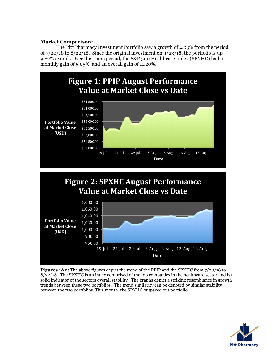# **Market Comparison:**

The Pitt Pharmacy Investment Portfolio saw a growth of 4.03% from the period of  $7/20/18$  to  $8/22/18$ . Since the original investment on  $4/23/18$ , the portfolio is up 9.87% overall. Over this same period, the S&P 500 Healthcare Index (SPXHC) had a monthly gain of 5.05%, and an overall gain of 11.20%.



**Figures 1&2:** The above figures depict the trend of the PPIP and the SPXHC from 7/20/18 to  $8/22/18$ . The SPXHC is an index comprised of the top companies in the healthcare sector and is a solid indicator of the sectors overall stability. The graphs depict a striking resemblance in growth trends between these two portfolios. The trend similarity can be denoted by similar stability between the two portfolios. This month, the SPXHC outpaced out portfolio.